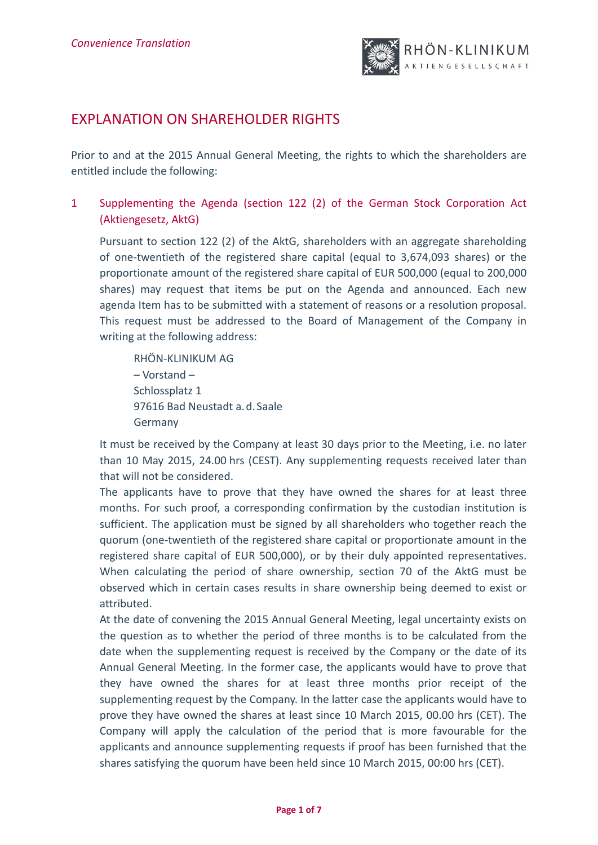

# EXPLANATION ON SHAREHOLDER RIGHTS

Prior to and at the 2015 Annual General Meeting, the rights to which the shareholders are entitled include the following:

1 Supplementing the Agenda (section 122 (2) of the German Stock Corporation Act (Aktiengesetz, AktG)

Pursuant to section 122 (2) of the AktG, shareholders with an aggregate shareholding of one‐twentieth of the registered share capital (equal to 3,674,093 shares) or the proportionate amount of the registered share capital of EUR 500,000 (equal to 200,000 shares) may request that items be put on the Agenda and announced. Each new agenda Item has to be submitted with a statement of reasons or a resolution proposal. This request must be addressed to the Board of Management of the Company in writing at the following address:

RHÖN‐KLINIKUM AG – Vorstand – Schlossplatz 1 97616 Bad Neustadt a.d.Saale Germany

It must be received by the Company at least 30 days prior to the Meeting, i.e. no later than 10 May 2015, 24.00 hrs (CEST). Any supplementing requests received later than that will not be considered.

The applicants have to prove that they have owned the shares for at least three months. For such proof, a corresponding confirmation by the custodian institution is sufficient. The application must be signed by all shareholders who together reach the quorum (one‐twentieth of the registered share capital or proportionate amount in the registered share capital of EUR 500,000), or by their duly appointed representatives. When calculating the period of share ownership, section 70 of the AktG must be observed which in certain cases results in share ownership being deemed to exist or attributed.

At the date of convening the 2015 Annual General Meeting, legal uncertainty exists on the question as to whether the period of three months is to be calculated from the date when the supplementing request is received by the Company or the date of its Annual General Meeting. In the former case, the applicants would have to prove that they have owned the shares for at least three months prior receipt of the supplementing request by the Company. In the latter case the applicants would have to prove they have owned the shares at least since 10 March 2015, 00.00 hrs (CET). The Company will apply the calculation of the period that is more favourable for the applicants and announce supplementing requests if proof has been furnished that the shares satisfying the quorum have been held since 10 March 2015, 00:00 hrs (CET).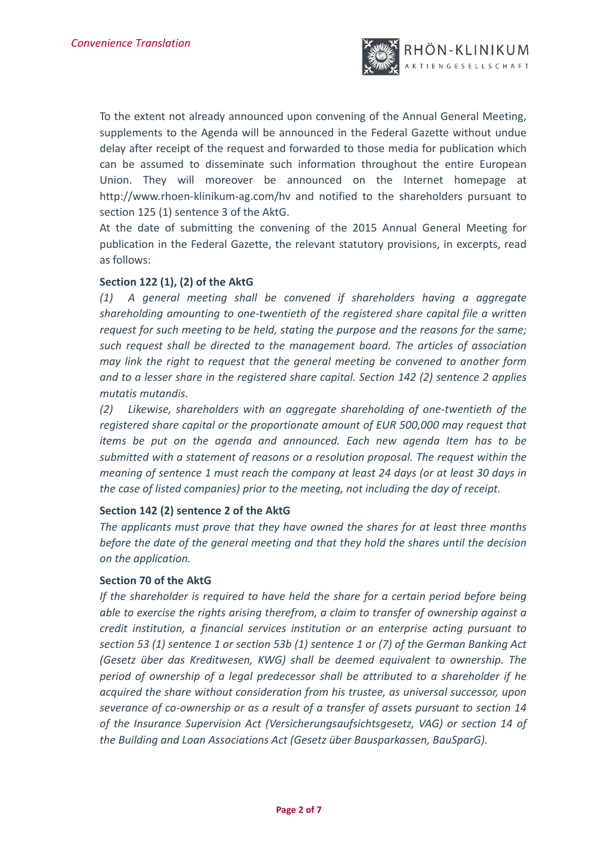

To the extent not already announced upon convening of the Annual General Meeting, supplements to the Agenda will be announced in the Federal Gazette without undue delay after receipt of the request and forwarded to those media for publication which can be assumed to disseminate such information throughout the entire European Union. They will moreover be announced on the Internet homepage at http://www.rhoen-klinikum-ag.com/hv and notified to the shareholders pursuant to section 125 (1) sentence 3 of the AktG.

At the date of submitting the convening of the 2015 Annual General Meeting for publication in the Federal Gazette, the relevant statutory provisions, in excerpts, read as follows:

# **Section 122 (1), (2) of the AktG**

*(1) A general meeting shall be convened if shareholders having a aggregate shareholding amounting to one‐twentieth of the registered share capital file a written request for such meeting to be held, stating the purpose and the reasons for the same; such request shall be directed to the management board. The articles of association may link the right to request that the general meeting be convened to another form and to a lesser share in the registered share capital. Section 142 (2) sentence 2 applies mutatis mutandis.*

*(2) Likewise, shareholders with an aggregate shareholding of one‐twentieth of the registered share capital or the proportionate amount of EUR 500,000 may request that items be put on the agenda and announced. Each new agenda Item has to be submitted with a statement of reasons or a resolution proposal. The request within the meaning of sentence 1 must reach the company at least 24 days (or at least 30 days in the case of listed companies) prior to the meeting, not including the day of receipt.*

# **Section 142 (2) sentence 2 of the AktG**

*The applicants must prove that they have owned the shares for at least three months before the date of the general meeting and that they hold the shares until the decision on the application.*

#### **Section 70 of the AktG**

*If the shareholder is required to have held the share for a certain period before being able to exercise the rights arising therefrom, a claim to transfer of ownership against a credit institution, a financial services institution or an enterprise acting pursuant to section 53 (1) sentence 1 or section 53b (1) sentence 1 or (7) of the German Banking Act (Gesetz über das Kreditwesen, KWG) shall be deemed equivalent to ownership. The period of ownership of a legal predecessor shall be attributed to a shareholder if he acquired the share without consideration from his trustee, as universal successor, upon severance of co‐ownership or as a result of a transfer of assets pursuant to section 14 of the Insurance Supervision Act (Versicherungsaufsichtsgesetz, VAG) or section 14 of the Building and Loan Associations Act (Gesetz über Bausparkassen, BauSparG).*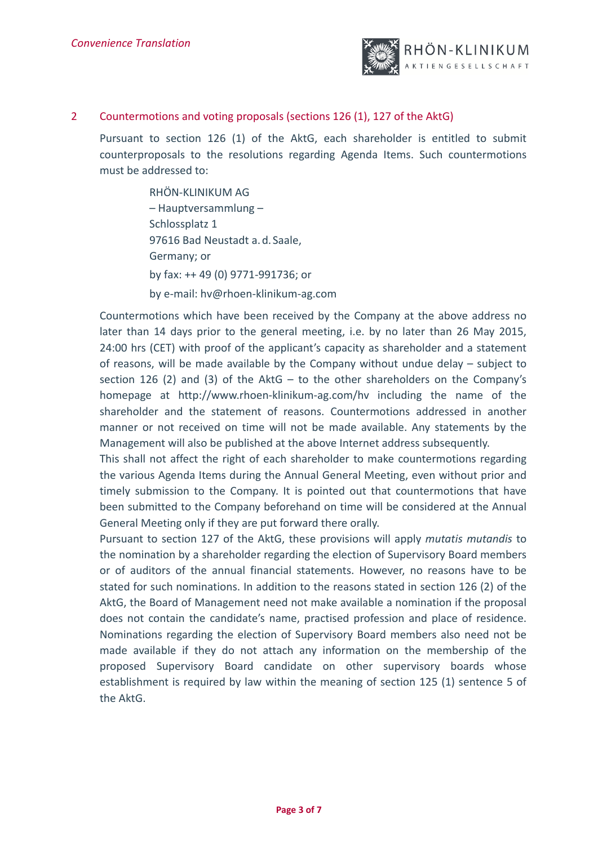

# 2 Countermotions and voting proposals (sections 126 (1), 127 of the AktG)

Pursuant to section 126 (1) of the AktG, each shareholder is entitled to submit counterproposals to the resolutions regarding Agenda Items. Such countermotions must be addressed to:

> RHÖN‐KLINIKUM AG – Hauptversammlung – Schlossplatz 1 97616 Bad Neustadt a.d.Saale, Germany; or by fax: ++ 49 (0) 9771‐991736; or by e‐mail: hv@rhoen‐klinikum‐ag.com

Countermotions which have been received by the Company at the above address no later than 14 days prior to the general meeting, i.e. by no later than 26 May 2015, 24:00 hrs (CET) with proof of the applicant's capacity as shareholder and a statement of reasons, will be made available by the Company without undue delay – subject to section 126 (2) and (3) of the AktG  $-$  to the other shareholders on the Company's homepage at http://www.rhoen‐klinikum‐ag.com/hv including the name of the shareholder and the statement of reasons. Countermotions addressed in another manner or not received on time will not be made available. Any statements by the Management will also be published at the above Internet address subsequently.

This shall not affect the right of each shareholder to make countermotions regarding the various Agenda Items during the Annual General Meeting, even without prior and timely submission to the Company. It is pointed out that countermotions that have been submitted to the Company beforehand on time will be considered at the Annual General Meeting only if they are put forward there orally.

Pursuant to section 127 of the AktG, these provisions will apply *mutatis mutandis* to the nomination by a shareholder regarding the election of Supervisory Board members or of auditors of the annual financial statements. However, no reasons have to be stated for such nominations. In addition to the reasons stated in section 126 (2) of the AktG, the Board of Management need not make available a nomination if the proposal does not contain the candidate's name, practised profession and place of residence. Nominations regarding the election of Supervisory Board members also need not be made available if they do not attach any information on the membership of the proposed Supervisory Board candidate on other supervisory boards whose establishment is required by law within the meaning of section 125 (1) sentence 5 of the AktG.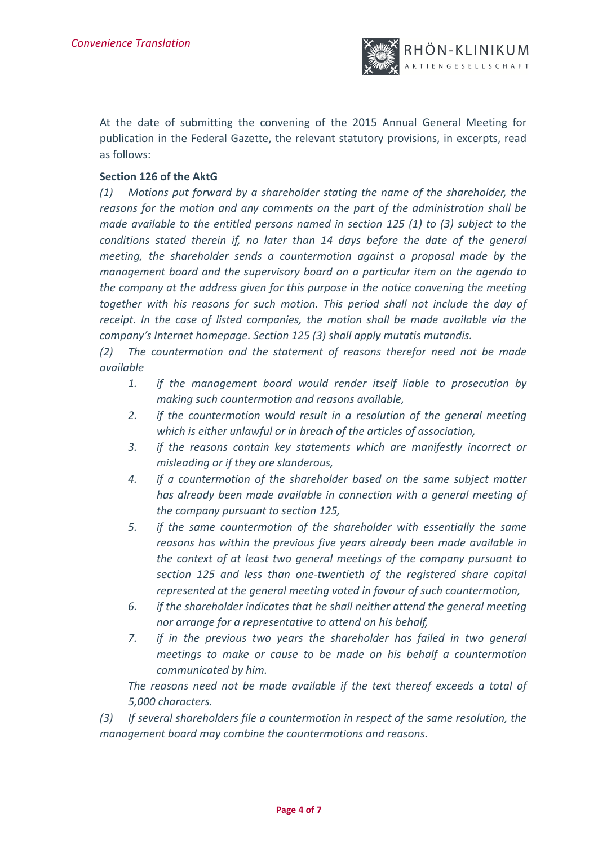

At the date of submitting the convening of the 2015 Annual General Meeting for publication in the Federal Gazette, the relevant statutory provisions, in excerpts, read as follows:

#### **Section 126 of the AktG**

*(1) Motions put forward by a shareholder stating the name of the shareholder, the reasons for the motion and any comments on the part of the administration shall be made available to the entitled persons named in section 125 (1) to (3) subject to the conditions stated therein if, no later than 14 days before the date of the general meeting, the shareholder sends a countermotion against a proposal made by the management board and the supervisory board on a particular item on the agenda to the company at the address given for this purpose in the notice convening the meeting together with his reasons for such motion. This period shall not include the day of receipt. In the case of listed companies, the motion shall be made available via the company's Internet homepage. Section 125 (3) shall apply mutatis mutandis.*

*(2) The countermotion and the statement of reasons therefor need not be made available* 

- *1. if the management board would render itself liable to prosecution by making such countermotion and reasons available,*
- *2. if the countermotion would result in a resolution of the general meeting which is either unlawful or in breach of the articles of association,*
- *3. if the reasons contain key statements which are manifestly incorrect or misleading or if they are slanderous,*
- *4. if a countermotion of the shareholder based on the same subject matter has already been made available in connection with a general meeting of the company pursuant to section 125,*
- *5. if the same countermotion of the shareholder with essentially the same reasons has within the previous five years already been made available in the context of at least two general meetings of the company pursuant to section 125 and less than one‐twentieth of the registered share capital represented at the general meeting voted in favour of such countermotion,*
- *6. if the shareholder indicates that he shall neither attend the general meeting nor arrange for a representative to attend on his behalf,*
- *7. if in the previous two years the shareholder has failed in two general meetings to make or cause to be made on his behalf a countermotion communicated by him.*

*The reasons need not be made available if the text thereof exceeds a total of 5,000 characters.*

*(3) If several shareholders file a countermotion in respect of the same resolution, the management board may combine the countermotions and reasons.*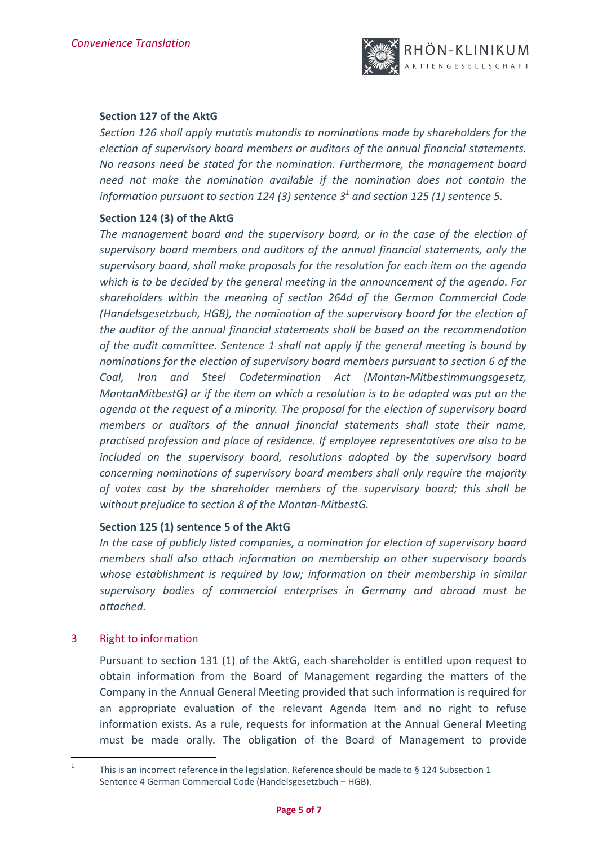

# **Section 127 of the AktG**

*Section 126 shall apply mutatis mutandis to nominations made by shareholders for the election of supervisory board members or auditors of the annual financial statements. No reasons need be stated for the nomination. Furthermore, the management board need not make the nomination available if the nomination does not contain the information pursuant to section*  $124$  (3) sentence  $3<sup>1</sup>$  and section  $125$  (1) sentence 5.

# **Section 124 (3) of the AktG**

*The management board and the supervisory board, or in the case of the election of supervisory board members and auditors of the annual financial statements, only the supervisory board, shall make proposals for the resolution for each item on the agenda which is to be decided by the general meeting in the announcement of the agenda. For shareholders within the meaning of section 264d of the German Commercial Code (Handelsgesetzbuch, HGB), the nomination of the supervisory board for the election of the auditor of the annual financial statements shall be based on the recommendation of the audit committee. Sentence 1 shall not apply if the general meeting is bound by nominations for the election of supervisory board members pursuant to section 6 of the Coal, Iron and Steel Codetermination Act (Montan‐Mitbestimmungsgesetz, MontanMitbestG) or if the item on which a resolution is to be adopted was put on the agenda at the request of a minority. The proposal for the election of supervisory board members or auditors of the annual financial statements shall state their name, practised profession and place of residence. If employee representatives are also to be included on the supervisory board, resolutions adopted by the supervisory board concerning nominations of supervisory board members shall only require the majority of votes cast by the shareholder members of the supervisory board; this shall be without prejudice to section 8 of the Montan‐MitbestG.*

# **Section 125 (1) sentence 5 of the AktG**

*In the case of publicly listed companies, a nomination for election of supervisory board members shall also attach information on membership on other supervisory boards whose establishment is required by law; information on their membership in similar supervisory bodies of commercial enterprises in Germany and abroad must be attached.*

# 3 Right to information

Pursuant to section 131 (1) of the AktG, each shareholder is entitled upon request to obtain information from the Board of Management regarding the matters of the Company in the Annual General Meeting provided that such information is required for an appropriate evaluation of the relevant Agenda Item and no right to refuse information exists. As a rule, requests for information at the Annual General Meeting must be made orally. The obligation of the Board of Management to provide

 This is an incorrect reference in the legislation. Reference should be made to  $\S$  124 Subsection 1 Sentence 4 German Commercial Code (Handelsgesetzbuch – HGB).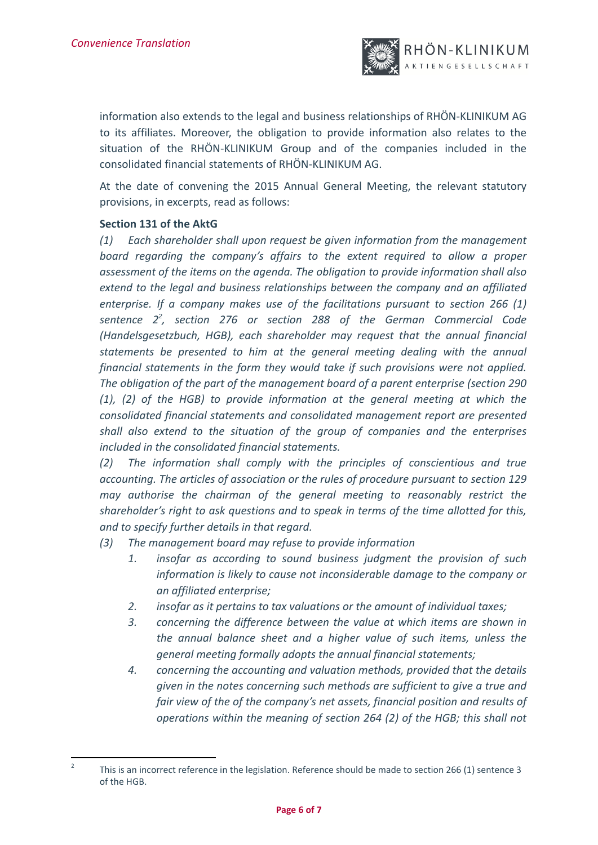

information also extends to the legal and business relationships of RHÖN‐KLINIKUM AG to its affiliates. Moreover, the obligation to provide information also relates to the situation of the RHÖN-KLINIKUM Group and of the companies included in the consolidated financial statements of RHÖN‐KLINIKUM AG.

At the date of convening the 2015 Annual General Meeting, the relevant statutory provisions, in excerpts, read as follows:

# **Section 131 of the AktG**

*(1) Each shareholder shall upon request be given information from the management board regarding the company's affairs to the extent required to allow a proper assessment of the items on the agenda. The obligation to provide information shall also extend to the legal and business relationships between the company and an affiliated enterprise. If a company makes use of the facilitations pursuant to section 266 (1) sentence 2<sup>2</sup> , section 276 or section 288 of the German Commercial Code (Handelsgesetzbuch, HGB), each shareholder may request that the annual financial statements be presented to him at the general meeting dealing with the annual financial statements in the form they would take if such provisions were not applied. The obligation of the part of the management board of a parent enterprise (section 290 (1), (2) of the HGB) to provide information at the general meeting at which the consolidated financial statements and consolidated management report are presented shall also extend to the situation of the group of companies and the enterprises included in the consolidated financial statements.*

*(2) The information shall comply with the principles of conscientious and true accounting. The articles of association or the rules of procedure pursuant to section 129 may authorise the chairman of the general meeting to reasonably restrict the shareholder's right to ask questions and to speak in terms of the time allotted for this, and to specify further details in that regard.*

*(3) The management board may refuse to provide information*

- *1. insofar as according to sound business judgment the provision of such information is likely to cause not inconsiderable damage to the company or an affiliated enterprise;*
- *2. insofar as it pertains to tax valuations or the amount of individual taxes;*
- *3. concerning the difference between the value at which items are shown in the annual balance sheet and a higher value of such items, unless the general meeting formally adopts the annual financial statements;*
- *4. concerning the accounting and valuation methods, provided that the details given in the notes concerning such methods are sufficient to give a true and fair view of the of the company's net assets, financial position and results of operations within the meaning of section 264 (2) of the HGB; this shall not*

 $\overline{2}$  This is an incorrect reference in the legislation. Reference should be made to section 266 (1) sentence 3 of the HGB.